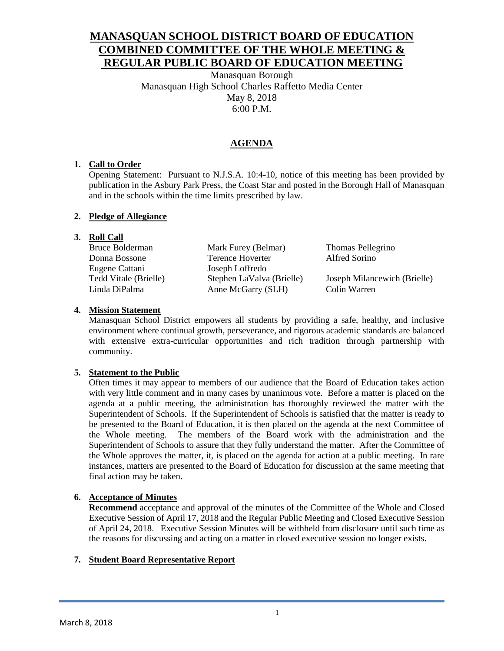# **MANASQUAN SCHOOL DISTRICT BOARD OF EDUCATION COMBINED COMMITTEE OF THE WHOLE MEETING & REGULAR PUBLIC BOARD OF EDUCATION MEETING**

Manasquan Borough Manasquan High School Charles Raffetto Media Center May 8, 2018 6:00 P.M.

# **AGENDA**

# **1. Call to Order**

Opening Statement: Pursuant to N.J.S.A. 10:4-10, notice of this meeting has been provided by publication in the Asbury Park Press, the Coast Star and posted in the Borough Hall of Manasquan and in the schools within the time limits prescribed by law.

# **2. Pledge of Allegiance**

# **3. Roll Call**

| Bruce Bolderman       | Mark Furey (Belmar)       | Thomas Pellegrino            |
|-----------------------|---------------------------|------------------------------|
| Donna Bossone         | Terence Hoverter          | Alfred Sorino                |
| Eugene Cattani        | Joseph Loffredo           |                              |
| Tedd Vitale (Brielle) | Stephen LaValva (Brielle) | Joseph Milancewich (Brielle) |
| Linda DiPalma         | Anne McGarry (SLH)        | Colin Warren                 |

# **4. Mission Statement**

Manasquan School District empowers all students by providing a safe, healthy, and inclusive environment where continual growth, perseverance, and rigorous academic standards are balanced with extensive extra-curricular opportunities and rich tradition through partnership with community.

## **5. Statement to the Public**

Often times it may appear to members of our audience that the Board of Education takes action with very little comment and in many cases by unanimous vote. Before a matter is placed on the agenda at a public meeting, the administration has thoroughly reviewed the matter with the Superintendent of Schools. If the Superintendent of Schools is satisfied that the matter is ready to be presented to the Board of Education, it is then placed on the agenda at the next Committee of the Whole meeting. The members of the Board work with the administration and the Superintendent of Schools to assure that they fully understand the matter. After the Committee of the Whole approves the matter, it, is placed on the agenda for action at a public meeting. In rare instances, matters are presented to the Board of Education for discussion at the same meeting that final action may be taken.

# **6. Acceptance of Minutes**

**Recommend** acceptance and approval of the minutes of the Committee of the Whole and Closed Executive Session of April 17, 2018 and the Regular Public Meeting and Closed Executive Session of April 24, 2018. Executive Session Minutes will be withheld from disclosure until such time as the reasons for discussing and acting on a matter in closed executive session no longer exists.

## **7. Student Board Representative Report**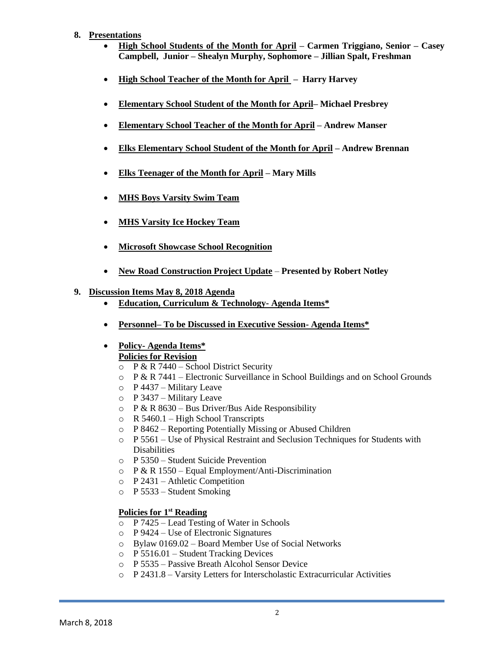#### **8. Presentations**

- **High School Students of the Month for April – Carmen Triggiano, Senior – Casey Campbell, Junior – Shealyn Murphy, Sophomore – Jillian Spalt, Freshman**
- **High School Teacher of the Month for April Harry Harvey**
- **Elementary School Student of the Month for April– Michael Presbrey**
- **Elementary School Teacher of the Month for April – Andrew Manser**
- **Elks Elementary School Student of the Month for April – Andrew Brennan**
- **Elks Teenager of the Month for April – Mary Mills**
- **MHS Boys Varsity Swim Team**
- **MHS Varsity Ice Hockey Team**
- **Microsoft Showcase School Recognition**
- **New Road Construction Project Update Presented by Robert Notley**

#### **9. Discussion Items May 8, 2018 Agenda**

- **Education, Curriculum & Technology- Agenda Items\***
- **Personnel– To be Discussed in Executive Session- Agenda Items\***

#### **Policy- Agenda Items\* Policies for Revision**

- $\circ$  P & R 7440 School District Security
- $\circ$  P & R 7441 Electronic Surveillance in School Buildings and on School Grounds
- o P 4437 Military Leave
- o P 3437 Military Leave
- $\circ$  P & R 8630 Bus Driver/Bus Aide Responsibility
- o R 5460.1 High School Transcripts
- o P 8462 Reporting Potentially Missing or Abused Children
- o P 5561 Use of Physical Restraint and Seclusion Techniques for Students with **Disabilities**
- o P 5350 Student Suicide Prevention
- $\circ$  P & R 1550 Equal Employment/Anti-Discrimination
- o P 2431 Athletic Competition
- o P 5533 Student Smoking

#### **Policies for 1 st Reading**

- o P 7425 Lead Testing of Water in Schools
- o P 9424 Use of Electronic Signatures
- o Bylaw 0169.02 Board Member Use of Social Networks
- o P 5516.01 Student Tracking Devices
- o P 5535 Passive Breath Alcohol Sensor Device
- o P 2431.8 Varsity Letters for Interscholastic Extracurricular Activities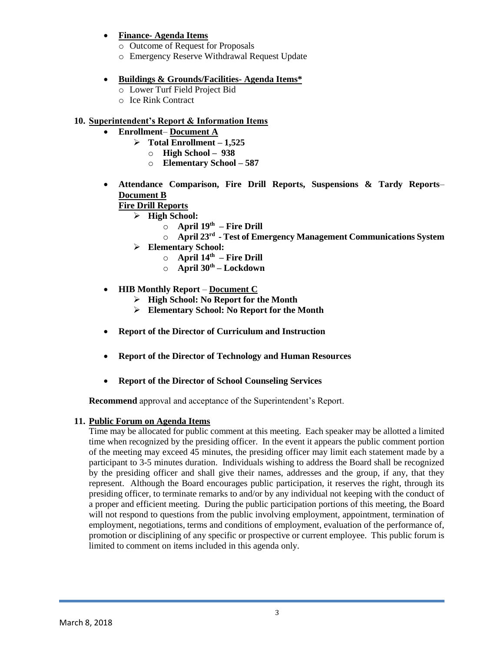- **Finance- Agenda Items**
	- o Outcome of Request for Proposals
	- o Emergency Reserve Withdrawal Request Update

### **Buildings & Grounds/Facilities- Agenda Items\***

- o Lower Turf Field Project Bid
- o Ice Rink Contract

# **10. Superintendent's Report & Information Items**

- **Enrollment Document A**
	- $\triangleright$  Total Enrollment 1,525
		- o **High School 938**
		- o **Elementary School – 587**
- **Attendance Comparison, Fire Drill Reports, Suspensions & Tardy Reports Document B**

# **Fire Drill Reports**

- **High School:**
	- o **April 19th – Fire Drill**
	- o **April 23rd - Test of Emergency Management Communications System**
	- **Elementary School:**
		- o **April 14th – Fire Drill**
		- o **April 30th – Lockdown**

## **HIB Monthly Report** – **Document C**

- **High School: No Report for the Month**
- **Elementary School: No Report for the Month**
- **Report of the Director of Curriculum and Instruction**
- **Report of the Director of Technology and Human Resources**
- **Report of the Director of School Counseling Services**

**Recommend** approval and acceptance of the Superintendent's Report.

## **11. Public Forum on Agenda Items**

Time may be allocated for public comment at this meeting. Each speaker may be allotted a limited time when recognized by the presiding officer. In the event it appears the public comment portion of the meeting may exceed 45 minutes, the presiding officer may limit each statement made by a participant to 3-5 minutes duration. Individuals wishing to address the Board shall be recognized by the presiding officer and shall give their names, addresses and the group, if any, that they represent. Although the Board encourages public participation, it reserves the right, through its presiding officer, to terminate remarks to and/or by any individual not keeping with the conduct of a proper and efficient meeting. During the public participation portions of this meeting, the Board will not respond to questions from the public involving employment, appointment, termination of employment, negotiations, terms and conditions of employment, evaluation of the performance of, promotion or disciplining of any specific or prospective or current employee. This public forum is limited to comment on items included in this agenda only.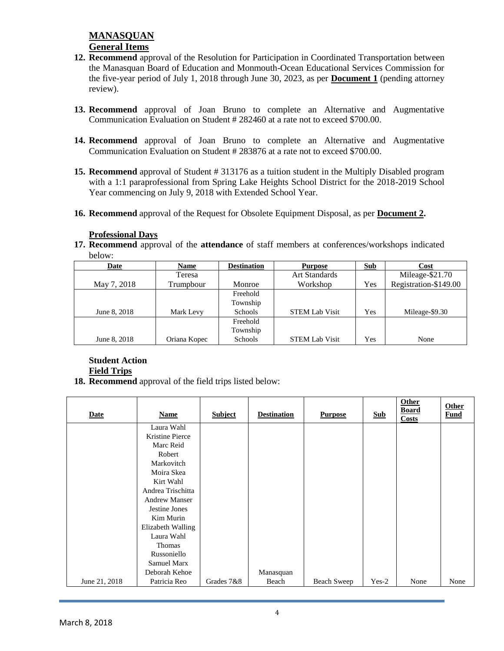- **12. Recommend** approval of the Resolution for Participation in Coordinated Transportation between the Manasquan Board of Education and Monmouth-Ocean Educational Services Commission for the five-year period of July 1, 2018 through June 30, 2023, as per **Document 1** (pending attorney review).
- **13. Recommend** approval of Joan Bruno to complete an Alternative and Augmentative Communication Evaluation on Student # 282460 at a rate not to exceed \$700.00.
- **14. Recommend** approval of Joan Bruno to complete an Alternative and Augmentative Communication Evaluation on Student # 283876 at a rate not to exceed \$700.00.
- **15. Recommend** approval of Student # 313176 as a tuition student in the Multiply Disabled program with a 1:1 paraprofessional from Spring Lake Heights School District for the 2018-2019 School Year commencing on July 9, 2018 with Extended School Year.
- **16. Recommend** approval of the Request for Obsolete Equipment Disposal, as per **Document 2.**

#### **Professional Days**

**17. Recommend** approval of the **attendance** of staff members at conferences/workshops indicated below:

| Date         | Name         | <b>Destination</b> | <b>Purpose</b>        | Sub | Cost                  |
|--------------|--------------|--------------------|-----------------------|-----|-----------------------|
|              | Teresa       |                    | <b>Art Standards</b>  |     | Mileage-\$21.70       |
| May 7, 2018  | Trumpbour    | Monroe             | Workshop              | Yes | Registration-\$149.00 |
|              |              | Freehold           |                       |     |                       |
|              |              | Township           |                       |     |                       |
| June 8, 2018 | Mark Levy    | Schools            | <b>STEM Lab Visit</b> | Yes | Mileage-\$9.30        |
|              |              | Freehold           |                       |     |                       |
|              |              | Township           |                       |     |                       |
| June 8, 2018 | Oriana Kopec | Schools            | <b>STEM Lab Visit</b> | Yes | None                  |

# **Student Action**

# **Field Trips**

**18. Recommend** approval of the field trips listed below:

| <b>Date</b>   | <b>Name</b>          | <b>Subject</b> | <b>Destination</b> | <b>Purpose</b> | <b>Sub</b> | <b>Other</b><br><b>Board</b><br>Costs | Other<br><b>Fund</b> |
|---------------|----------------------|----------------|--------------------|----------------|------------|---------------------------------------|----------------------|
|               | Laura Wahl           |                |                    |                |            |                                       |                      |
|               | Kristine Pierce      |                |                    |                |            |                                       |                      |
|               | Marc Reid            |                |                    |                |            |                                       |                      |
|               | Robert               |                |                    |                |            |                                       |                      |
|               | Markovitch           |                |                    |                |            |                                       |                      |
|               | Moira Skea           |                |                    |                |            |                                       |                      |
|               | Kirt Wahl            |                |                    |                |            |                                       |                      |
|               | Andrea Trischitta    |                |                    |                |            |                                       |                      |
|               | <b>Andrew Manser</b> |                |                    |                |            |                                       |                      |
|               | Jestine Jones        |                |                    |                |            |                                       |                      |
|               | Kim Murin            |                |                    |                |            |                                       |                      |
|               | Elizabeth Walling    |                |                    |                |            |                                       |                      |
|               | Laura Wahl           |                |                    |                |            |                                       |                      |
|               | Thomas               |                |                    |                |            |                                       |                      |
|               | Russoniello          |                |                    |                |            |                                       |                      |
|               | <b>Samuel Marx</b>   |                |                    |                |            |                                       |                      |
|               | Deborah Kehoe        |                | Manasquan          |                |            |                                       |                      |
| June 21, 2018 | Patricia Reo         | Grades 7&8     | Beach              | Beach Sweep    | $Yes-2$    | None                                  | None                 |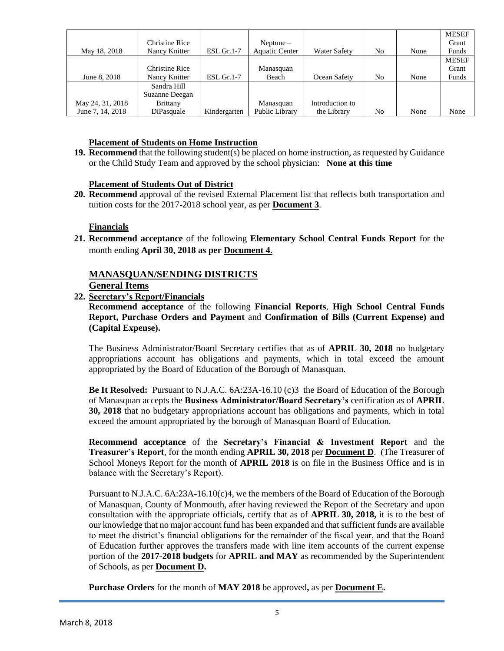|                  |                       |              |                       |                     |    |      | <b>MESEF</b> |
|------------------|-----------------------|--------------|-----------------------|---------------------|----|------|--------------|
|                  | <b>Christine Rice</b> |              | $Neptune-$            |                     |    |      | Grant        |
| May 18, 2018     | Nancy Knitter         | $ESL$ Gr.1-7 | <b>Aquatic Center</b> | <b>Water Safety</b> | No | None | Funds        |
|                  |                       |              |                       |                     |    |      | <b>MESEF</b> |
|                  | <b>Christine Rice</b> |              | Manasquan             |                     |    |      | Grant        |
| June 8, 2018     | Nancy Knitter         | $ESL$ Gr.1-7 | Beach                 | Ocean Safety        | No | None | Funds        |
|                  | Sandra Hill           |              |                       |                     |    |      |              |
|                  | Suzanne Deegan        |              |                       |                     |    |      |              |
| May 24, 31, 2018 | <b>Brittany</b>       |              | Manasquan             | Introduction to     |    |      |              |
| June 7, 14, 2018 | DiPasquale            | Kindergarten | Public Library        | the Library         | No | None | None         |

#### **Placement of Students on Home Instruction**

**19. Recommend** that the following student(s) be placed on home instruction, as requested by Guidance or the Child Study Team and approved by the school physician: **None at this time**

#### **Placement of Students Out of District**

**20. Recommend** approval of the revised External Placement list that reflects both transportation and tuition costs for the 2017-2018 school year, as per **Document 3**.

#### **Financials**

**21. Recommend acceptance** of the following **Elementary School Central Funds Report** for the month ending **April 30, 2018 as per Document 4.**

#### **MANASQUAN/SENDING DISTRICTS General Items**

#### **22. Secretary's Report/Financials**

**Recommend acceptance** of the following **Financial Reports**, **High School Central Funds Report, Purchase Orders and Payment** and **Confirmation of Bills (Current Expense) and (Capital Expense).**

The Business Administrator/Board Secretary certifies that as of **APRIL 30, 2018** no budgetary appropriations account has obligations and payments, which in total exceed the amount appropriated by the Board of Education of the Borough of Manasquan.

**Be It Resolved:** Pursuant to N.J.A.C. 6A:23A-16.10 (c)3 the Board of Education of the Borough of Manasquan accepts the **Business Administrator/Board Secretary's** certification as of **APRIL 30, 2018** that no budgetary appropriations account has obligations and payments, which in total exceed the amount appropriated by the borough of Manasquan Board of Education.

**Recommend acceptance** of the **Secretary's Financial & Investment Report** and the **Treasurer's Report**, for the month ending **APRIL 30, 2018** per **Document D**. (The Treasurer of School Moneys Report for the month of **APRIL 2018** is on file in the Business Office and is in balance with the Secretary's Report).

Pursuant to N.J.A.C. 6A:23A-16.10(c)4, we the members of the Board of Education of the Borough of Manasquan, County of Monmouth, after having reviewed the Report of the Secretary and upon consultation with the appropriate officials, certify that as of **APRIL 30, 2018,** it is to the best of our knowledge that no major account fund has been expanded and that sufficient funds are available to meet the district's financial obligations for the remainder of the fiscal year, and that the Board of Education further approves the transfers made with line item accounts of the current expense portion of the **2017-2018 budgets** for **APRIL and MAY** as recommended by the Superintendent of Schools, as per **Document D.**

**Purchase Orders** for the month of **MAY 2018** be approved**,** as per **Document E.**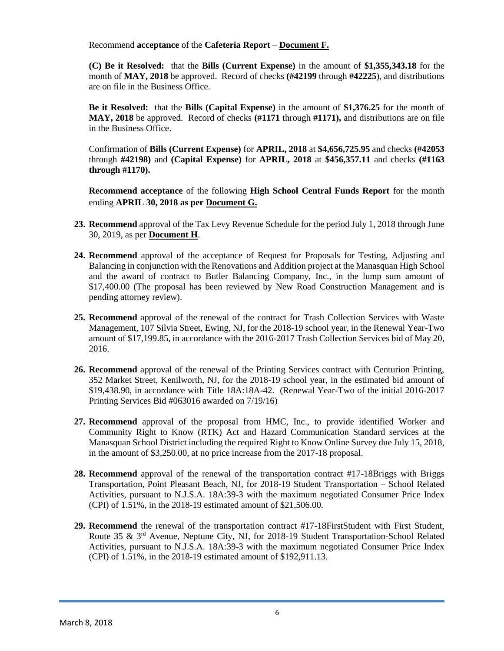Recommend **acceptance** of the **Cafeteria Report** – **Document F.**

**(C) Be it Resolved:** that the **Bills (Current Expense)** in the amount of **\$1,355,343.18** for the month of **MAY, 2018** be approved. Record of checks **(#42199** through **#42225**), and distributions are on file in the Business Office.

**Be it Resolved:** that the **Bills (Capital Expense)** in the amount of **\$1,376.25** for the month of **MAY, 2018** be approved. Record of checks **(#1171** through **#1171),** and distributions are on file in the Business Office.

Confirmation of **Bills (Current Expense)** for **APRIL, 2018** at **\$4,656,725.95** and checks **(#42053**  through **#42198)** and **(Capital Expense)** for **APRIL, 2018** at **\$456,357.11** and checks **(#1163 through #1170).**

**Recommend acceptance** of the following **High School Central Funds Report** for the month ending **APRIL 30, 2018 as per Document G.**

- **23. Recommend** approval of the Tax Levy Revenue Schedule for the period July 1, 2018 through June 30, 2019, as per **Document H**.
- **24. Recommend** approval of the acceptance of Request for Proposals for Testing, Adjusting and Balancing in conjunction with the Renovations and Addition project at the Manasquan High School and the award of contract to Butler Balancing Company, Inc., in the lump sum amount of \$17,400.00 (The proposal has been reviewed by New Road Construction Management and is pending attorney review).
- **25. Recommend** approval of the renewal of the contract for Trash Collection Services with Waste Management, 107 Silvia Street, Ewing, NJ, for the 2018-19 school year, in the Renewal Year-Two amount of \$17,199.85, in accordance with the 2016-2017 Trash Collection Services bid of May 20, 2016.
- **26. Recommend** approval of the renewal of the Printing Services contract with Centurion Printing, 352 Market Street, Kenilworth, NJ, for the 2018-19 school year, in the estimated bid amount of \$19,438.90, in accordance with Title 18A:18A-42. (Renewal Year-Two of the initial 2016-2017 Printing Services Bid #063016 awarded on 7/19/16)
- **27. Recommend** approval of the proposal from HMC, Inc., to provide identified Worker and Community Right to Know (RTK) Act and Hazard Communication Standard services at the Manasquan School District including the required Right to Know Online Survey due July 15, 2018, in the amount of \$3,250.00, at no price increase from the 2017-18 proposal.
- **28. Recommend** approval of the renewal of the transportation contract #17-18Briggs with Briggs Transportation, Point Pleasant Beach, NJ, for 2018-19 Student Transportation – School Related Activities, pursuant to N.J.S.A. 18A:39-3 with the maximum negotiated Consumer Price Index (CPI) of 1.51%, in the 2018-19 estimated amount of \$21,506.00.
- **29. Recommend** the renewal of the transportation contract #17-18FirstStudent with First Student, Route 35 & 3rd Avenue, Neptune City, NJ, for 2018-19 Student Transportation-School Related Activities, pursuant to N.J.S.A. 18A:39-3 with the maximum negotiated Consumer Price Index (CPI) of 1.51%, in the 2018-19 estimated amount of \$192,911.13.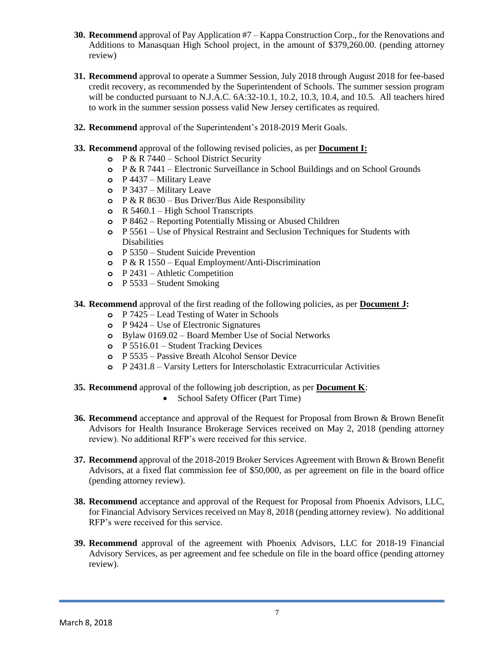- **30. Recommend** approval of Pay Application #7 Kappa Construction Corp., for the Renovations and Additions to Manasquan High School project, in the amount of \$379,260.00. (pending attorney review)
- **31. Recommend** approval to operate a Summer Session, July 2018 through August 2018 for fee-based credit recovery, as recommended by the Superintendent of Schools. The summer session program will be conducted pursuant to N.J.A.C.  $6A:32-10.1$ , 10.2, 10.3, 10.4, and 10.5. All teachers hired to work in the summer session possess valid New Jersey certificates as required.
- **32. Recommend** approval of the Superintendent's 2018-2019 Merit Goals.
- **33. Recommend** approval of the following revised policies, as per **Document I:**
	- **o** P & R 7440 School District Security
	- **o** P & R 7441 Electronic Surveillance in School Buildings and on School Grounds
	- **o** P 4437 Military Leave
	- **o** P 3437 Military Leave
	- **o** P & R 8630 Bus Driver/Bus Aide Responsibility
	- **o** R 5460.1 High School Transcripts
	- **o** P 8462 Reporting Potentially Missing or Abused Children
	- **o** P 5561 Use of Physical Restraint and Seclusion Techniques for Students with Disabilities
	- **o** P 5350 Student Suicide Prevention
	- **o** P & R 1550 Equal Employment/Anti-Discrimination
	- **o** P 2431 Athletic Competition
	- **o** P 5533 Student Smoking
- **34. Recommend** approval of the first reading of the following policies, as per **Document J:**
	- **o** P 7425 Lead Testing of Water in Schools
	- **o** P 9424 Use of Electronic Signatures
	- **o** Bylaw 0169.02 Board Member Use of Social Networks
	- **o** P 5516.01 Student Tracking Devices
	- **o** P 5535 Passive Breath Alcohol Sensor Device
	- **o** P 2431.8 Varsity Letters for Interscholastic Extracurricular Activities
- **35. Recommend** approval of the following job description, as per **Document K**:
	- School Safety Officer (Part Time)
- **36. Recommend** acceptance and approval of the Request for Proposal from Brown & Brown Benefit Advisors for Health Insurance Brokerage Services received on May 2, 2018 (pending attorney review). No additional RFP's were received for this service.
- **37. Recommend** approval of the 2018-2019 Broker Services Agreement with Brown & Brown Benefit Advisors, at a fixed flat commission fee of \$50,000, as per agreement on file in the board office (pending attorney review).
- **38. Recommend** acceptance and approval of the Request for Proposal from Phoenix Advisors, LLC, for Financial Advisory Services received on May 8, 2018 (pending attorney review). No additional RFP's were received for this service.
- **39. Recommend** approval of the agreement with Phoenix Advisors, LLC for 2018-19 Financial Advisory Services, as per agreement and fee schedule on file in the board office (pending attorney review).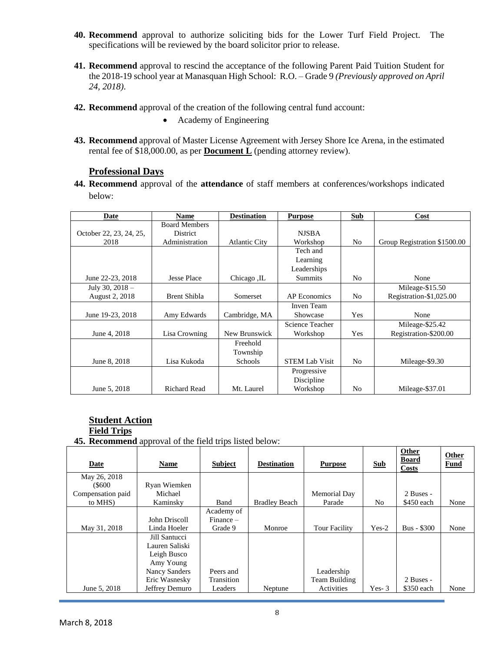- **40. Recommend** approval to authorize soliciting bids for the Lower Turf Field Project. The specifications will be reviewed by the board solicitor prior to release.
- **41. Recommend** approval to rescind the acceptance of the following Parent Paid Tuition Student for the 2018-19 school year at Manasquan High School: R.O. – Grade 9 *(Previously approved on April 24, 2018)*.
- **42. Recommend** approval of the creation of the following central fund account:
	- Academy of Engineering
- **43. Recommend** approval of Master License Agreement with Jersey Shore Ice Arena, in the estimated rental fee of \$18,000.00, as per **Document L** (pending attorney review).

# **Professional Days**

**44. Recommend** approval of the **attendance** of staff members at conferences/workshops indicated below:

| Date                    | <b>Name</b>          | <b>Destination</b>   | <b>Purpose</b>        | <b>Sub</b>     | Cost                         |
|-------------------------|----------------------|----------------------|-----------------------|----------------|------------------------------|
|                         | <b>Board Members</b> |                      |                       |                |                              |
| October 22, 23, 24, 25, | <b>District</b>      |                      | <b>NJSBA</b>          |                |                              |
| 2018                    | Administration       | <b>Atlantic City</b> | Workshop              | N <sub>0</sub> | Group Registration \$1500.00 |
|                         |                      |                      | Tech and              |                |                              |
|                         |                      |                      | Learning              |                |                              |
|                         |                      |                      | Leaderships           |                |                              |
| June 22-23, 2018        | Jesse Place          | Chicago, IL          | Summits               | N <sub>0</sub> | None                         |
| July 30, $2018 -$       |                      |                      |                       |                | Mileage-\$15.50              |
| August 2, 2018          | Brent Shibla         | Somerset             | <b>AP</b> Economics   | No             | Registration-\$1,025.00      |
|                         |                      |                      | Inven Team            |                |                              |
| June 19-23, 2018        | Amy Edwards          | Cambridge, MA        | Showcase              | Yes            | None                         |
|                         |                      |                      | Science Teacher       |                | Mileage-\$25.42              |
| June 4, 2018            | Lisa Crowning        | New Brunswick        | Workshop              | Yes            | Registration-\$200.00        |
|                         |                      | Freehold             |                       |                |                              |
|                         |                      | Township             |                       |                |                              |
| June 8, 2018            | Lisa Kukoda          | Schools              | <b>STEM Lab Visit</b> | N <sub>0</sub> | Mileage-\$9.30               |
|                         |                      |                      | Progressive           |                |                              |
|                         |                      |                      | Discipline            |                |                              |
| June 5, 2018            | <b>Richard Read</b>  | Mt. Laurel           | Workshop              | N <sub>0</sub> | Mileage-\$37.01              |

# **Student Action**

# **Field Trips**

**45. Recommend** approval of the field trips listed below:

| Date              | <b>Name</b>          | <b>Subject</b> | <b>Destination</b>   | <b>Purpose</b>       | <b>Sub</b> | <b>Other</b><br><b>Board</b><br><b>Costs</b> | Other<br><b>Fund</b> |
|-------------------|----------------------|----------------|----------------------|----------------------|------------|----------------------------------------------|----------------------|
| May 26, 2018      |                      |                |                      |                      |            |                                              |                      |
| $($ \$600         | Ryan Wiemken         |                |                      |                      |            |                                              |                      |
| Compensation paid | Michael              |                |                      | Memorial Day         |            | 2 Buses -                                    |                      |
| to MHS)           | Kaminsky             | Band           | <b>Bradley Beach</b> | Parade               | No.        | \$450 each                                   | None                 |
|                   |                      | Academy of     |                      |                      |            |                                              |                      |
|                   | John Driscoll        | $Finance -$    |                      |                      |            |                                              |                      |
| May 31, 2018      | Linda Hoeler         | Grade 9        | Monroe               | <b>Tour Facility</b> | $Yes-2$    | $Bus - $300$                                 | None                 |
|                   | Jill Santucci        |                |                      |                      |            |                                              |                      |
|                   | Lauren Saliski       |                |                      |                      |            |                                              |                      |
|                   | Leigh Busco          |                |                      |                      |            |                                              |                      |
|                   | Amy Young            |                |                      |                      |            |                                              |                      |
|                   | <b>Nancy Sanders</b> | Peers and      |                      | Leadership           |            |                                              |                      |
|                   | Eric Wasnesky        | Transition     |                      | Team Building        |            | 2 Buses -                                    |                      |
| June 5, 2018      | Jeffrey Demuro       | Leaders        | Neptune              | Activities           | $Yes-3$    | \$350 each                                   | None                 |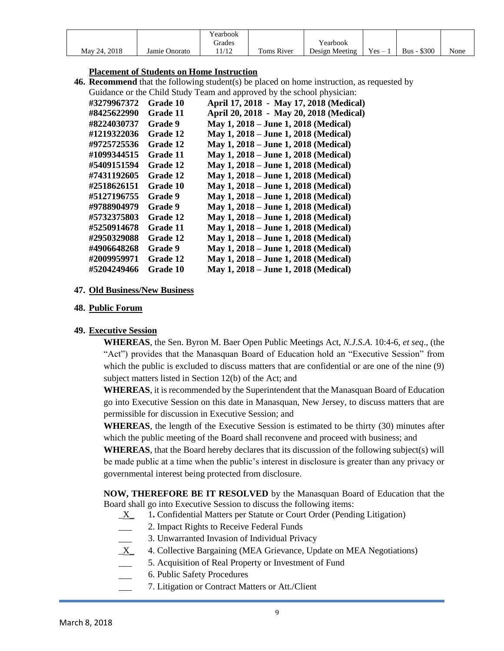|              |               | earbook |            |                |         |                    |      |
|--------------|---------------|---------|------------|----------------|---------|--------------------|------|
|              |               | irades  |            | Yearbook       |         |                    |      |
| May 24, 2018 | Jamie Onorato | 1/12    | Toms River | Design Meeting | $Yes -$ | <b>Bus - \$300</b> | None |

#### **Placement of Students on Home Instruction**

**46. Recommend** that the following student(s) be placed on home instruction, as requested by Guidance or the Child Study Team and approved by the school physician:

| OUIGANCE OF THE CHILD STUDY |                 | I calli and approved by the school privident. |
|-----------------------------|-----------------|-----------------------------------------------|
| #3279967372                 | Grade 10        | April 17, 2018 - May 17, 2018 (Medical)       |
| #8425622990                 | Grade 11        | April 20, 2018 - May 20, 2018 (Medical)       |
| #8224030737                 | <b>Grade</b> 9  | May 1, 2018 – June 1, 2018 (Medical)          |
| #1219322036                 | Grade 12        | May 1, 2018 – June 1, 2018 (Medical)          |
| #9725725536                 | <b>Grade 12</b> | May 1, 2018 – June 1, 2018 (Medical)          |
| #1099344515                 | Grade 11        | May 1, 2018 – June 1, 2018 (Medical)          |
| #5409151594                 | Grade 12        | May 1, 2018 – June 1, 2018 (Medical)          |
| #7431192605                 | Grade 12        | May 1, 2018 – June 1, 2018 (Medical)          |
| #2518626151                 | <b>Grade 10</b> | May 1, 2018 – June 1, 2018 (Medical)          |
| #5127196755                 | <b>Grade</b> 9  | May 1, 2018 – June 1, 2018 (Medical)          |
| #9788904979                 | <b>Grade</b> 9  | May 1, 2018 – June 1, 2018 (Medical)          |
| #5732375803                 | <b>Grade 12</b> | May 1, 2018 – June 1, 2018 (Medical)          |
| #5250914678                 | Grade 11        | May 1, 2018 – June 1, 2018 (Medical)          |
| #2950329088                 | Grade 12        | May 1, 2018 – June 1, 2018 (Medical)          |
| #4906648268                 | <b>Grade</b> 9  | May 1, 2018 - June 1, 2018 (Medical)          |
| #2009959971                 | <b>Grade 12</b> | May 1, 2018 – June 1, 2018 (Medical)          |
| #5204249466                 | <b>Grade 10</b> | May 1, 2018 – June 1, 2018 (Medical)          |

#### **47. Old Business/New Business**

#### **48. Public Forum**

#### **49. Executive Session**

**WHEREAS**, the Sen. Byron M. Baer Open Public Meetings Act, *N.J.S.A*. 10:4-6, *et seq*., (the "Act") provides that the Manasquan Board of Education hold an "Executive Session" from which the public is excluded to discuss matters that are confidential or are one of the nine (9) subject matters listed in Section 12(b) of the Act; and

**WHEREAS**, it is recommended by the Superintendent that the Manasquan Board of Education go into Executive Session on this date in Manasquan, New Jersey, to discuss matters that are permissible for discussion in Executive Session; and

**WHEREAS**, the length of the Executive Session is estimated to be thirty (30) minutes after which the public meeting of the Board shall reconvene and proceed with business; and

**WHEREAS**, that the Board hereby declares that its discussion of the following subject(s) will be made public at a time when the public's interest in disclosure is greater than any privacy or governmental interest being protected from disclosure.

**NOW, THEREFORE BE IT RESOLVED** by the Manasquan Board of Education that the Board shall go into Executive Session to discuss the following items:

- \_X\_ 1**.** Confidential Matters per Statute or Court Order (Pending Litigation)
- \_\_\_ 2. Impact Rights to Receive Federal Funds
- 3. Unwarranted Invasion of Individual Privacy
- $X_$  4. Collective Bargaining (MEA Grievance, Update on MEA Negotiations)
- \_\_\_ 5. Acquisition of Real Property or Investment of Fund
- 6. Public Safety Procedures
- 7. Litigation or Contract Matters or Att./Client